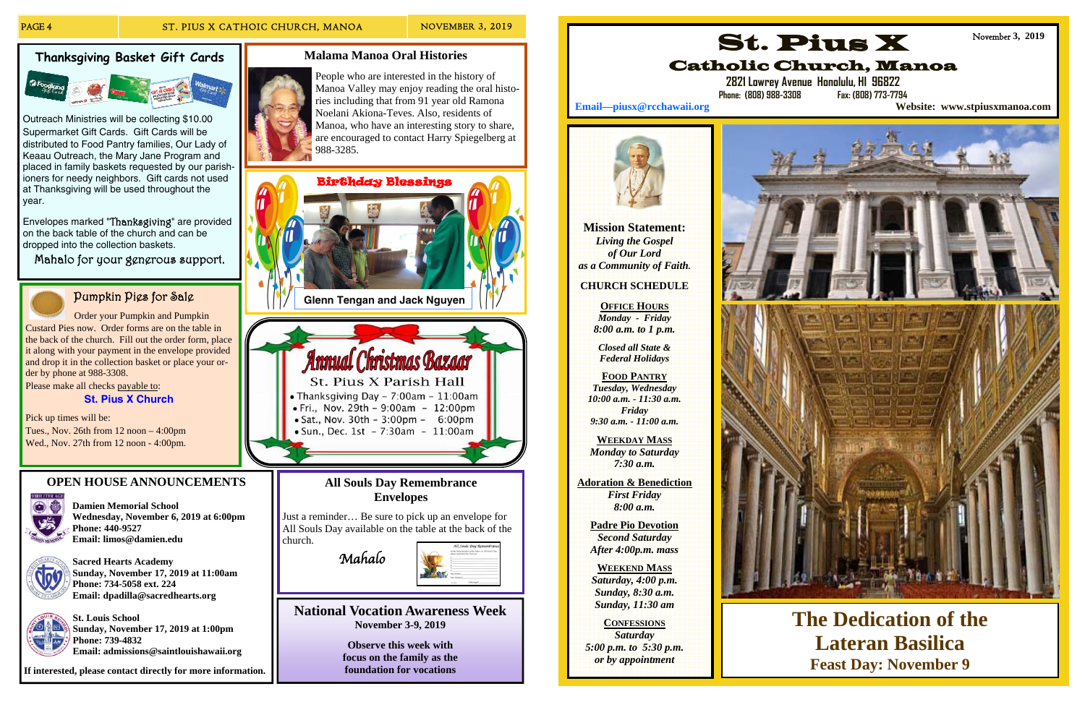### **Thanksgiving Basket Gift Cards**



Outreach Ministries will be collecting \$10.00 Supermarket Gift Cards. Gift Cards will be distributed to Food Pantry families, Our Lady of Keaau Outreach, the Mary Jane Program and placed in family baskets requested by our parishioners for needy neighbors. Gift cards not used at Thanksgiving will be used throughout the year.

Please make all checks payable to: **St. Pius X Church**

Envelopes marked "Thanksgiving" are provided on the back table of the church and can be dropped into the collection baskets.

Mahalo for your generous support.



## Pumpkin Pies for Sale

 Order your Pumpkin and Pumpkin Custard Pies now. Order forms are on the table in the back of the church. Fill out the order form, place it along with your payment in the envelope provided and drop it in the collection basket or place your order by phone at 988-3308.

Pick up times will be: Tues., Nov. 26th from 12 noon – 4:00pm Wed., Nov. 27th from 12 noon - 4:00pm.

### **OPEN HOUSE ANNOUNCEMENTS**



**Damien Memorial School Wednesday, November 6, 2019 at 6:00pm Phone: 440-9527 Email: limos@damien.edu** 



**Sacred Hearts Academy Sunday, November 17, 2019 at 11:00am Phone: 734-5058 ext. 224 Email: dpadilla@sacredhearts.org** 



**St. Louis School Sunday, November 17, 2019 at 1:00pm Phone: 739-4832 Email: admissions@saintlouishawaii.org** 

**If interested, please contact directly for more information.** 

### **All Souls Day Remembrance Envelopes**

Just a reminder… Be sure to pick up an envelope for All Souls Day available on the table at the back of the church.





**Observe this week with focus on the family as the foundation for vocations** 

### **Malama Manoa Oral Histories**





St. Pius X Parish Hall • Thanksgiving Day - 7:00am -  $11:00$ am • Fri., Nov. 29th - 9:00am - 12:00pm • Sat., Nov. 30th -  $3:00 \text{pm}$  - 6:00pm · Sun., Dec. 1st - 7:30am - 11:00am

People who are interested in the history of Manoa Valley may enjoy reading the oral histories including that from 91 year old Ramona Noelani Akiona-Teves. Also, residents of Manoa, who have an interesting story to share, are encouraged to contact Harry Spiegelberg at 988-3285.

> **Mission Statement:**  *Living the Gospel of Our Lord as a Community of Faith.*

### **CHURCH SCHEDULE**

**OFFICE HOURS***Monday - Friday 8:00 a.m. to 1 p.m.* 

*Closed all State & Federal Holidays* 

**FOOD PANTRY***Tuesday, Wednesday 10:00 a.m. - 11:30 a.m. Friday 9:30 a.m. - 11:00 a.m.* 

**WEEKDAY MASS***Monday to Saturday 7:30 a.m.* 

**Adoration & Benediction**  *First Friday 8:00 a.m.* 

> **Padre Pio Devotion**  *Second Saturday After 4:00p.m. mass*

**WEEKEND MASS***Saturday, 4:00 p.m. Sunday, 8:30 a.m. Sunday, 11:30 am* 

### **CONFESSIONS**

*Saturday 5:00 p.m. to 5:30 p.m. or by appointment* 





# St. Pius X







**The Dedication of the Lateran Basilica Feast Day: November 9**